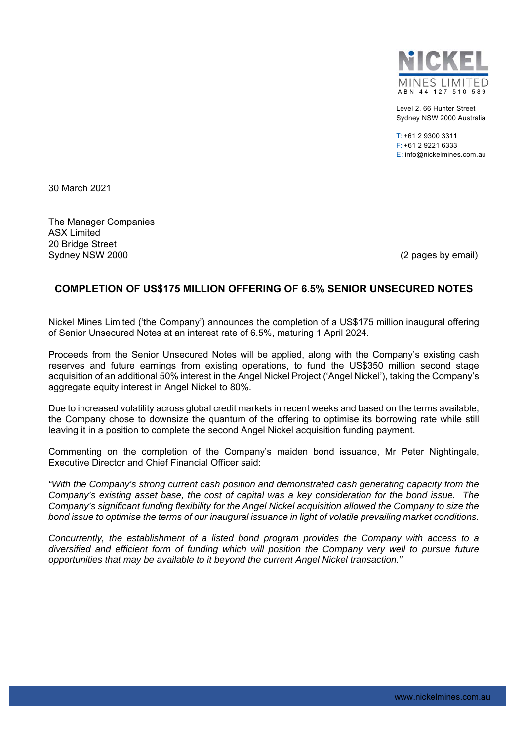

Level 2, 66 Hunter Street Sydney NSW 2000 Australia

 $T: +61293003311$ F: +61 2 9221 6333 E: info@nickelmines.com.au

30 March 2021

The Manager Companies ASX Limited 20 Bridge Street Sydney NSW 2000 (2 pages by email)

## **COMPLETION OF US\$175 MILLION OFFERING OF 6.5% SENIOR UNSECURED NOTES**

Nickel Mines Limited ('the Company') announces the completion of a US\$175 million inaugural offering of Senior Unsecured Notes at an interest rate of 6.5%, maturing 1 April 2024.

Proceeds from the Senior Unsecured Notes will be applied, along with the Company's existing cash reserves and future earnings from existing operations, to fund the US\$350 million second stage acquisition of an additional 50% interest in the Angel Nickel Project ('Angel Nickel'), taking the Company's aggregate equity interest in Angel Nickel to 80%.

Due to increased volatility across global credit markets in recent weeks and based on the terms available, the Company chose to downsize the quantum of the offering to optimise its borrowing rate while still leaving it in a position to complete the second Angel Nickel acquisition funding payment.

Commenting on the completion of the Company's maiden bond issuance, Mr Peter Nightingale, Executive Director and Chief Financial Officer said:

*"With the Company's strong current cash position and demonstrated cash generating capacity from the Company's existing asset base, the cost of capital was a key consideration for the bond issue. The Company's significant funding flexibility for the Angel Nickel acquisition allowed the Company to size the bond issue to optimise the terms of our inaugural issuance in light of volatile prevailing market conditions.* 

*Concurrently, the establishment of a listed bond program provides the Company with access to a diversified and efficient form of funding which will position the Company very well to pursue future opportunities that may be available to it beyond the current Angel Nickel transaction."*